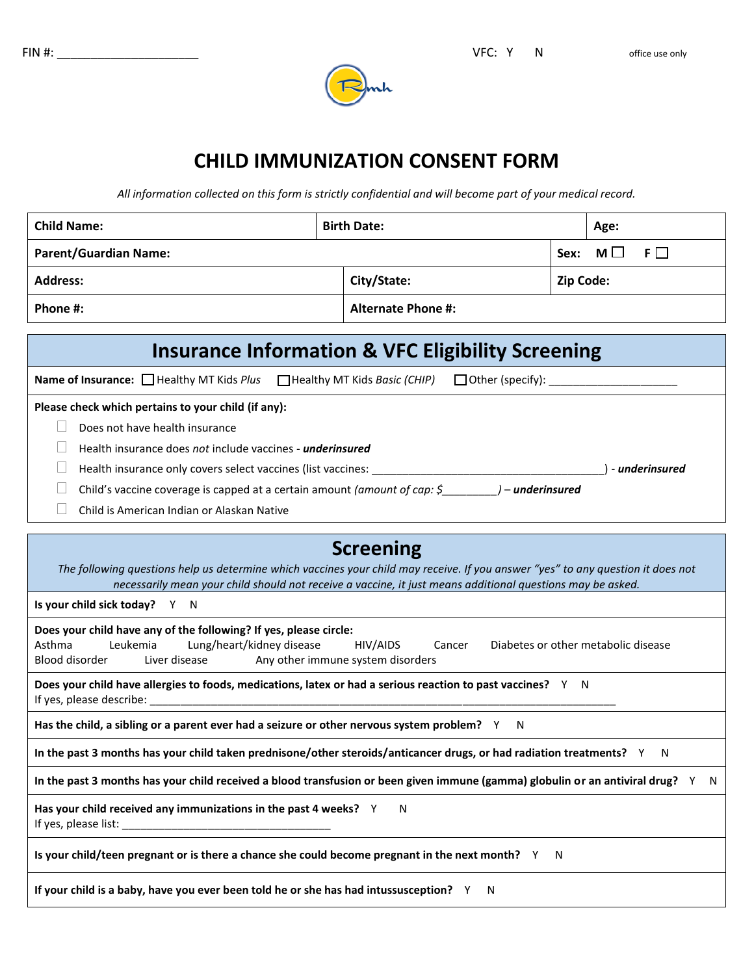

# **CHILD IMMUNIZATION CONSENT FORM**

*All information collected on this form is strictly confidential and will become part of your medical record.*

| <b>Child Name:</b>           | <b>Birth Date:</b>        | Age:                    |
|------------------------------|---------------------------|-------------------------|
| <b>Parent/Guardian Name:</b> |                           | $M \Box F \Box$<br>Sex: |
| <b>Address:</b>              | City/State:               | <b>Zip Code:</b>        |
| Phone #:                     | <b>Alternate Phone #:</b> |                         |

## **Insurance Information & VFC Eligibility Screening**

**Name of Insurance:** □ Healthy MT Kids *Plus* □ Healthy MT Kids *Basic (CHIP)* □ Other (specify):

#### **Please check which pertains to your child (if any):**

- $\Box$  Does not have health insurance
- Health insurance does *not* include vaccines *underinsured*
- Health insurance only covers select vaccines (list vaccines: \_\_\_\_\_\_\_\_\_\_\_\_\_\_\_\_\_\_\_\_\_\_\_\_\_\_\_\_\_\_\_\_\_\_\_\_\_\_) *underinsured*
- Child's vaccine coverage is capped at a certain amount *(amount of cap: \$\_\_\_\_\_\_\_\_\_) underinsured*
- Child is American Indian or Alaskan Native

## **Screening**

*The following questions help us determine which vaccines your child may receive. If you answer "yes" to any question it does not necessarily mean your child should not receive a vaccine, it just means additional questions may be asked.*

**Is your child sick today?** Y N

#### **Does your child have any of the following? If yes, please circle:**

Asthma Leukemia Lung/heart/kidney disease HIV/AIDS Cancer Diabetes or other metabolic disease Blood disorder Liver disease Any other immune system disorders

**Does your child have allergies to foods, medications, latex or had a serious reaction to past vaccines?** Y N If yes, please describe: \_\_\_\_\_\_\_\_\_\_\_\_\_\_\_\_\_\_\_\_\_\_\_\_\_\_\_\_\_\_\_\_\_\_\_\_\_\_\_\_\_\_\_\_\_\_\_\_\_\_\_\_\_\_\_\_\_\_\_\_\_\_\_\_\_\_\_\_\_\_\_\_\_\_\_\_

**Has the child, a sibling or a parent ever had a seizure or other nervous system problem?** Y N

**In the past 3 months has your child taken prednisone/other steroids/anticancer drugs, or had radiation treatments?** Y N

**In the past 3 months has your child received a blood transfusion or been given immune (gamma) globulin or an antiviral drug?** Y N

Has your child received any immunizations in the past 4 weeks? Y N

If yes, please list:  $\Box$ 

**Is your child/teen pregnant or is there a chance she could become pregnant in the next month?** Y N

**If your child is a baby, have you ever been told he or she has had intussusception?** Y N